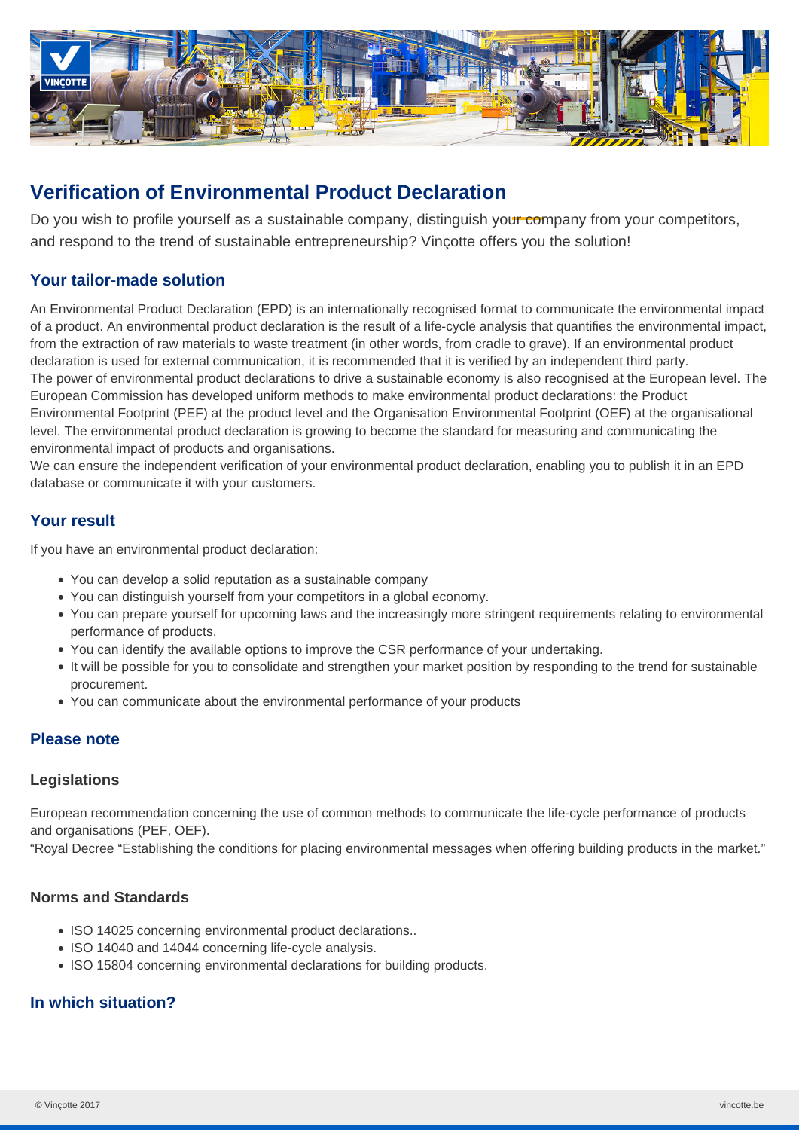

# **Verification of Environmental Product Declaration**

Do you wish to profile yourself as a sustainable company, distinguish your company from your competitors, and respond to the trend of sustainable entrepreneurship? Vinçotte offers you the solution!

# **Your tailor-made solution**

An Environmental Product Declaration (EPD) is an internationally recognised format to communicate the environmental impact of a product. An environmental product declaration is the result of a life-cycle analysis that quantifies the environmental impact, from the extraction of raw materials to waste treatment (in other words, from cradle to grave). If an environmental product declaration is used for external communication, it is recommended that it is verified by an independent third party. The power of environmental product declarations to drive a sustainable economy is also recognised at the European level. The European Commission has developed uniform methods to make environmental product declarations: the Product Environmental Footprint (PEF) at the product level and the Organisation Environmental Footprint (OEF) at the organisational level. The environmental product declaration is growing to become the standard for measuring and communicating the environmental impact of products and organisations.

We can ensure the independent verification of your environmental product declaration, enabling you to publish it in an EPD database or communicate it with your customers.

# **Your result**

If you have an environmental product declaration:

- You can develop a solid reputation as a sustainable company
- You can distinguish yourself from your competitors in a global economy.
- You can prepare yourself for upcoming laws and the increasingly more stringent requirements relating to environmental performance of products.
- You can identify the available options to improve the CSR performance of your undertaking.
- It will be possible for you to consolidate and strengthen your market position by responding to the trend for sustainable procurement.
- You can communicate about the environmental performance of your products

## **Please note**

#### **Legislations**

European recommendation concerning the use of common methods to communicate the life-cycle performance of products and organisations (PEF, OEF).

"Royal Decree "Establishing the conditions for placing environmental messages when offering building products in the market."

#### **Norms and Standards**

- ISO 14025 concerning environmental product declarations..
- ISO 14040 and 14044 concerning life-cycle analysis.
- ISO 15804 concerning environmental declarations for building products.

## **In which situation?**